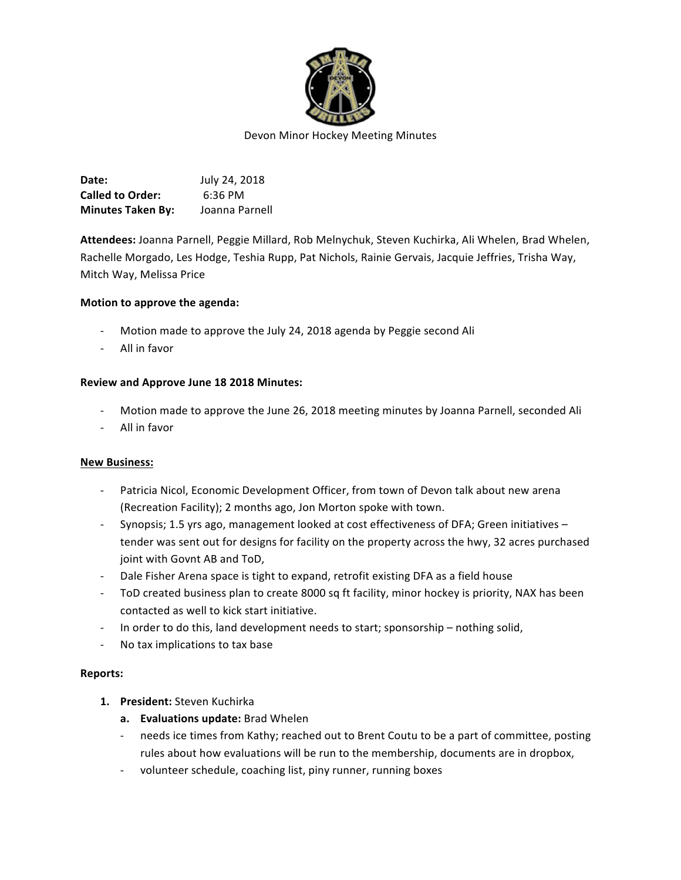

**Date: July 24, 2018 Called to Order:** 6:36 PM **Minutes Taken By:** Joanna Parnell

Attendees: Joanna Parnell, Peggie Millard, Rob Melnychuk, Steven Kuchirka, Ali Whelen, Brad Whelen, Rachelle Morgado, Les Hodge, Teshia Rupp, Pat Nichols, Rainie Gervais, Jacquie Jeffries, Trisha Way, Mitch Way, Melissa Price

#### **Motion to approve the agenda:**

- Motion made to approve the July 24, 2018 agenda by Peggie second Ali
- All in favor

#### **Review and Approve June 18 2018 Minutes:**

- Motion made to approve the June 26, 2018 meeting minutes by Joanna Parnell, seconded Ali
- All in favor

#### **New Business:**

- Patricia Nicol, Economic Development Officer, from town of Devon talk about new arena (Recreation Facility); 2 months ago, Jon Morton spoke with town.
- Synopsis; 1.5 yrs ago, management looked at cost effectiveness of DFA; Green initiatives tender was sent out for designs for facility on the property across the hwy, 32 acres purchased joint with Govnt AB and ToD,
- Dale Fisher Arena space is tight to expand, retrofit existing DFA as a field house
- ToD created business plan to create 8000 sq ft facility, minor hockey is priority, NAX has been contacted as well to kick start initiative.
- In order to do this, land development needs to start; sponsorship nothing solid,
- No tax implications to tax base

#### **Reports:**

- **1.** President: Steven Kuchirka
	- **a. Evaluations update:** Brad Whelen
	- needs ice times from Kathy; reached out to Brent Coutu to be a part of committee, posting rules about how evaluations will be run to the membership, documents are in dropbox,
	- volunteer schedule, coaching list, piny runner, running boxes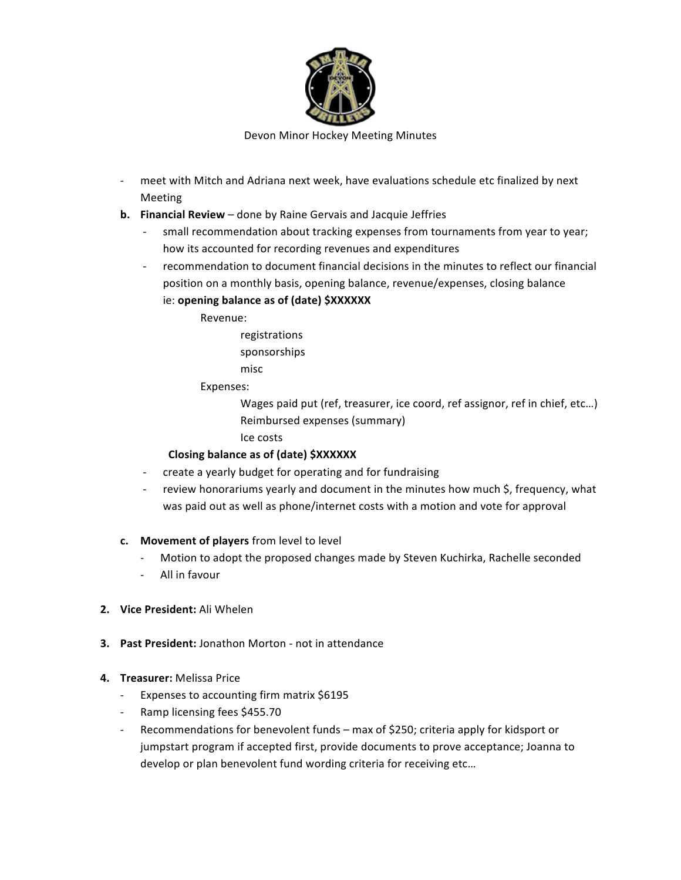

Devon Minor Hockey Meeting Minutes

- meet with Mitch and Adriana next week, have evaluations schedule etc finalized by next Meeting
- **b.** Financial Review done by Raine Gervais and Jacquie Jeffries
	- small recommendation about tracking expenses from tournaments from year to year; how its accounted for recording revenues and expenditures
	- recommendation to document financial decisions in the minutes to reflect our financial position on a monthly basis, opening balance, revenue/expenses, closing balance ie: **opening balance as of (date) \$XXXXXX**

Revenue:

registrations

sponsorships

misc

Expenses:

Wages paid put (ref, treasurer, ice coord, ref assignor, ref in chief, etc...) Reimbursed expenses (summary)

Ice costs 

# **Closing balance as of (date) \$XXXXXX**

- create a yearly budget for operating and for fundraising
- review honorariums yearly and document in the minutes how much \$, frequency, what was paid out as well as phone/internet costs with a motion and vote for approval
- **c.** Movement of players from level to level
	- Motion to adopt the proposed changes made by Steven Kuchirka, Rachelle seconded
	- All in favour
- **2. Vice President:** Ali Whelen
- **3. Past President:** Jonathon Morton not in attendance
- **4. Treasurer:** Melissa Price
	- Expenses to accounting firm matrix \$6195
	- Ramp licensing fees \$455.70
	- Recommendations for benevolent funds max of \$250; criteria apply for kidsport or jumpstart program if accepted first, provide documents to prove acceptance; Joanna to develop or plan benevolent fund wording criteria for receiving etc...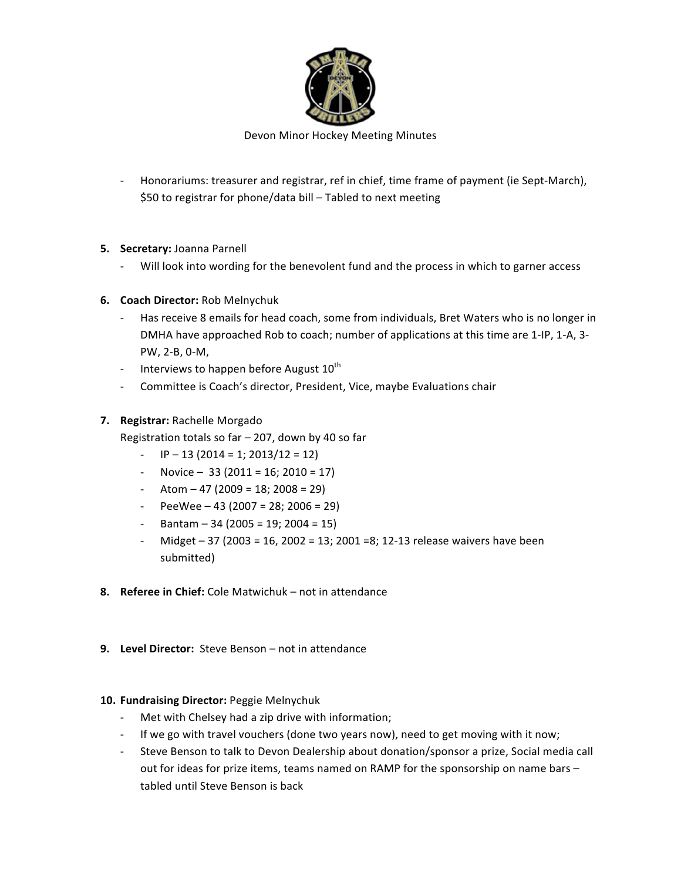

- Honorariums: treasurer and registrar, ref in chief, time frame of payment (ie Sept-March), \$50 to registrar for phone/data bill - Tabled to next meeting

## **5.** Secretary: Joanna Parnell

- Will look into wording for the benevolent fund and the process in which to garner access
- **6.** Coach Director: Rob Melnychuk
	- Has receive 8 emails for head coach, some from individuals, Bret Waters who is no longer in DMHA have approached Rob to coach; number of applications at this time are 1-IP, 1-A, 3-PW, 2-B, 0-M,
	- Interviews to happen before August  $10^{th}$
	- Committee is Coach's director, President, Vice, maybe Evaluations chair

### **7.** Registrar: Rachelle Morgado

- Registration totals so far  $-$  207, down by 40 so far
	- $\text{IP} 13 \left( \frac{2014}{1} = 1; \frac{2013}{12} = 12 \right)$
	- $-$  Novice  $-$  33 (2011 = 16; 2010 = 17)
	- $-$  Atom  $-$  47 (2009 = 18; 2008 = 29)
	- $-$  PeeWee 43 (2007 = 28; 2006 = 29)
	- $-$  Bantam 34 (2005 = 19; 2004 = 15)
	- Midget 37 (2003 = 16, 2002 = 13; 2001 = 8; 12-13 release waivers have been submitted)
- **8.** Referee in Chief: Cole Matwichuk not in attendance
- **9.** Level Director: Steve Benson not in attendance

### 10. Fundraising Director: Peggie Melnychuk

- Met with Chelsey had a zip drive with information;
- If we go with travel vouchers (done two years now), need to get moving with it now;
- Steve Benson to talk to Devon Dealership about donation/sponsor a prize, Social media call out for ideas for prize items, teams named on RAMP for the sponsorship on name bars tabled until Steve Benson is back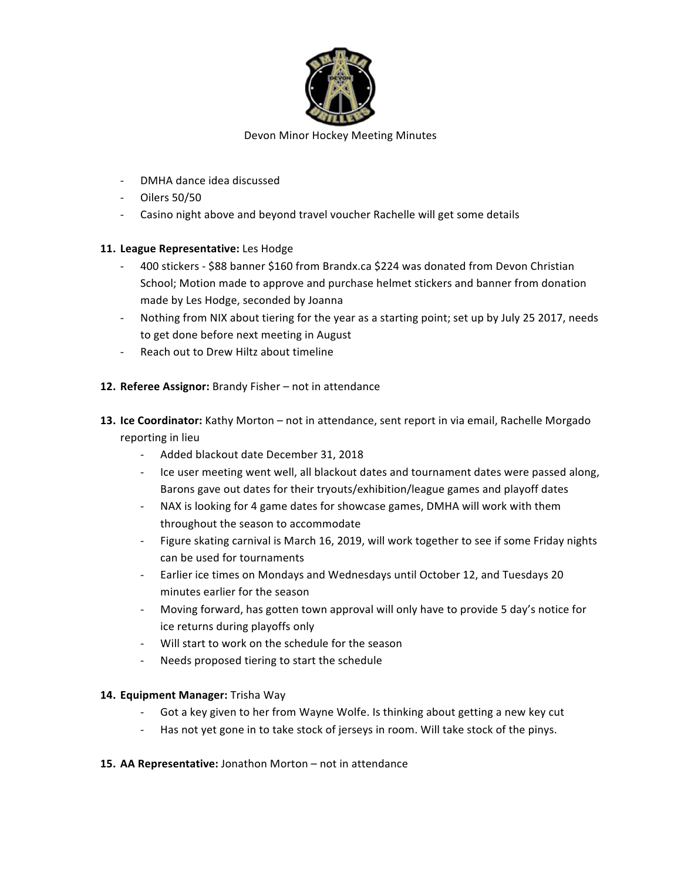

- DMHA dance idea discussed
- $-$  Oilers 50/50
- Casino night above and beyond travel voucher Rachelle will get some details

### 11. League Representative: Les Hodge

- 400 stickers \$88 banner \$160 from Brandx.ca \$224 was donated from Devon Christian School; Motion made to approve and purchase helmet stickers and banner from donation made by Les Hodge, seconded by Joanna
- Nothing from NIX about tiering for the year as a starting point; set up by July 25 2017, needs to get done before next meeting in August
- Reach out to Drew Hiltz about timeline
- 12. Referee Assignor: Brandy Fisher not in attendance
- 13. Ice Coordinator: Kathy Morton not in attendance, sent report in via email, Rachelle Morgado reporting in lieu
	- Added blackout date December 31, 2018
	- Ice user meeting went well, all blackout dates and tournament dates were passed along, Barons gave out dates for their tryouts/exhibition/league games and playoff dates
	- NAX is looking for 4 game dates for showcase games, DMHA will work with them throughout the season to accommodate
	- Figure skating carnival is March 16, 2019, will work together to see if some Friday nights can be used for tournaments
	- Earlier ice times on Mondays and Wednesdays until October 12, and Tuesdays 20 minutes earlier for the season
	- Moving forward, has gotten town approval will only have to provide 5 day's notice for ice returns during playoffs only
	- Will start to work on the schedule for the season
	- Needs proposed tiering to start the schedule

### 14. **Equipment Manager:** Trisha Way

- Got a key given to her from Wayne Wolfe. Is thinking about getting a new key cut
- Has not yet gone in to take stock of jerseys in room. Will take stock of the pinys.

### 15. AA Representative: Jonathon Morton - not in attendance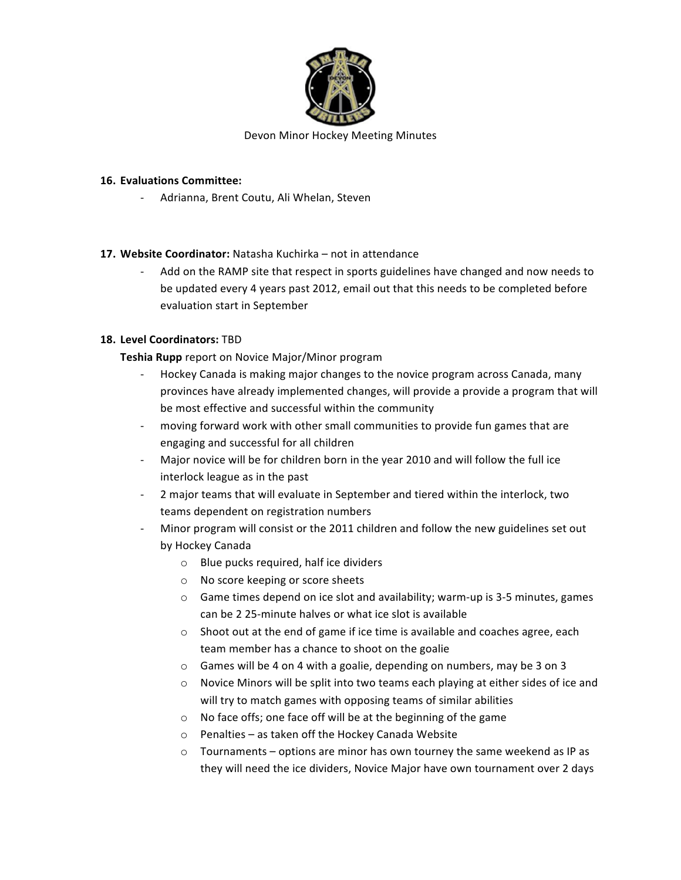

## **16. Evaluations Committee:**

Adrianna, Brent Coutu, Ali Whelan, Steven

## 17. Website Coordinator: Natasha Kuchirka – not in attendance

Add on the RAMP site that respect in sports guidelines have changed and now needs to be updated every 4 years past 2012, email out that this needs to be completed before evaluation start in September

# **18. Level Coordinators:** TBD

**Teshia Rupp** report on Novice Major/Minor program

- Hockey Canada is making major changes to the novice program across Canada, many provinces have already implemented changes, will provide a provide a program that will be most effective and successful within the community
- moving forward work with other small communities to provide fun games that are engaging and successful for all children
- Major novice will be for children born in the year 2010 and will follow the full ice interlock league as in the past
- 2 major teams that will evaluate in September and tiered within the interlock, two teams dependent on registration numbers
- Minor program will consist or the 2011 children and follow the new guidelines set out by Hockey Canada
	- $\circ$  Blue pucks required, half ice dividers
	- $\circ$  No score keeping or score sheets
	- $\circ$  Game times depend on ice slot and availability; warm-up is 3-5 minutes, games can be 2 25-minute halves or what ice slot is available
	- $\circ$  Shoot out at the end of game if ice time is available and coaches agree, each team member has a chance to shoot on the goalie
	- $\circ$  Games will be 4 on 4 with a goalie, depending on numbers, may be 3 on 3
	- $\circ$  Novice Minors will be split into two teams each playing at either sides of ice and will try to match games with opposing teams of similar abilities
	- $\circ$  No face offs; one face off will be at the beginning of the game
	- $\circ$  Penalties as taken off the Hockey Canada Website
	- $\circ$  Tournaments options are minor has own tourney the same weekend as IP as they will need the ice dividers, Novice Major have own tournament over 2 days